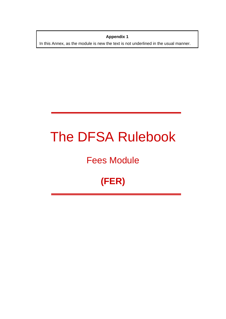**Appendix 1**  In this Annex, as the module is new the text is not underlined in the usual manner.

# The DFSA Rulebook

# Fees Module

# **(FER)**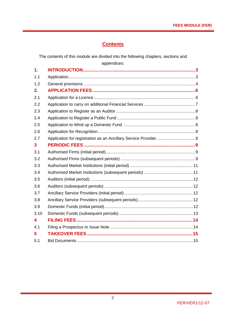# **Contents**

The contents of this module are divided into the following chapters, sections and appendices:

| $\mathbf 1$ . |                                                                  |  |
|---------------|------------------------------------------------------------------|--|
| 1.1           |                                                                  |  |
| 1.2           |                                                                  |  |
| 2.            |                                                                  |  |
| 2.1           |                                                                  |  |
| 2.2           |                                                                  |  |
| 2.3           |                                                                  |  |
| 2.4           |                                                                  |  |
| 2.5           |                                                                  |  |
| 2.6           |                                                                  |  |
| 2.7           | Application for registration as an Ancillary Service Provider  8 |  |
| 3             |                                                                  |  |
| 3.1           |                                                                  |  |
| 3.2           |                                                                  |  |
| 3.3           |                                                                  |  |
| 3.4           |                                                                  |  |
| 3.5           |                                                                  |  |
| 3.6           |                                                                  |  |
| 3.7           |                                                                  |  |
| 3.8           |                                                                  |  |
| 3.9           |                                                                  |  |
| 3.10          |                                                                  |  |
| 4             |                                                                  |  |
| 4.1           |                                                                  |  |
| 5             |                                                                  |  |
| 5.1           |                                                                  |  |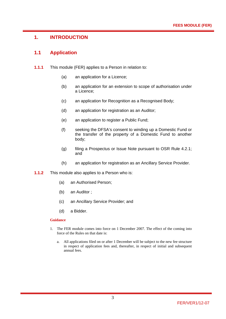# **1. INTRODUCTION**

#### **1.1 Application**

- **1.1.1** This module (FER) applies to a Person in relation to:
	- (a) an application for a Licence;
	- (b) an application for an extension to scope of authorisation under a Licence;
	- (c) an application for Recognition as a Recognised Body;
	- (d) an application for registration as an Auditor;
	- (e) an application to register a Public Fund;
	- (f) seeking the DFSA's consent to winding up a Domestic Fund or the transfer of the property of a Domestic Fund to another body;
	- (g) filing a Prospectus or Issue Note pursuant to OSR Rule 4.2.1; and
	- (h) an application for registration as an Ancillary Service Provider.
- **1.1.2** This module also applies to a Person who is:
	- (a) an Authorised Person;
	- (b) an Auditor ;
	- (c) an Ancillary Service Provider; and
	- (d) a Bidder.

#### **Guidance**

- 1. The FER module comes into force on 1 December 2007. The effect of the coming into force of the Rules on that date is:
	- a. All applications filed on or after 1 December will be subject to the new fee structure in respect of application fees and, thereafter, in respect of initial and subsequent annual fees.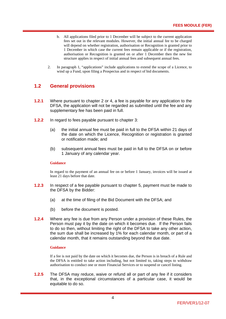- b. All applications filed prior to 1 December will be subject to the current application fees set out in the relevant modules. However, the initial annual fee to be charged will depend on whether registration, authorisation or Recognition is granted prior to 1 December in which case the current fees remain applicable or if the registration, authorisation or Recognition is granted on or after 1 December then the new fee structure applies in respect of initial annual fees and subsequent annual fees.
- 2. In paragraph 1, "applications" include applications to extend the scope of a Licence, to wind up a Fund, upon filing a Prospectus and in respect of bid documents.

# **1.2 General provisions**

- **1.2.1** Where pursuant to chapter 2 or 4, a fee is payable for any application to the DFSA, the application will not be regarded as submitted until the fee and any supplementary fee has been paid in full.
- **1.2.2** In regard to fees payable pursuant to chapter 3:
	- (a) the initial annual fee must be paid in full to the DFSA within 21 days of the date on which the Licence, Recognition or registration is granted or notification made; and
	- (b) subsequent annual fees must be paid in full to the DFSA on or before 1 January of any calendar year.

#### **Guidance**

In regard to the payment of an annual fee on or before 1 January, invoices will be issued at least 21 days before that date.

- **1.2.3** In respect of a fee payable pursuant to chapter 5, payment must be made to the DFSA by the Bidder:
	- (a) at the time of filing of the Bid Document with the DFSA; and
	- (b) before the document is posted.
- **1.2.4** Where any fee is due from any Person under a provision of these Rules, the Person must pay it by the date on which it becomes due. If the Person fails to do so then, without limiting the right of the DFSA to take any other action, the sum due shall be increased by 1% for each calendar month, or part of a calendar month, that it remains outstanding beyond the due date.

#### **Guidance**

If a fee is not paid by the date on which it becomes due, the Person is in breach of a Rule and the DFSA is entitled to take action including, but not limited to, taking steps to withdraw authorisation to conduct one or more Financial Services or to suspend or cancel listing.

**1.2.5** The DFSA may reduce, waive or refund all or part of any fee if it considers that, in the exceptional circumstances of a particular case, it would be equitable to do so.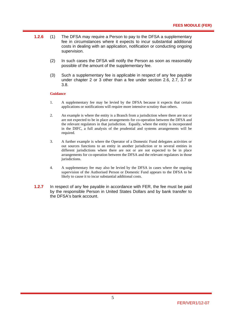- **1.2.6** (1) The DFSA may require a Person to pay to the DFSA a supplementary fee in circumstances where it expects to incur substantial additional costs in dealing with an application, notification or conducting ongoing supervision.
	- (2) In such cases the DFSA will notify the Person as soon as reasonably possible of the amount of the supplementary fee.
	- (3) Such a supplementary fee is applicable in respect of any fee payable under chapter 2 or 3 other than a fee under section 2.6, 2.7, 3.7 or 3.8.

#### **Guidance**

- 1. A supplementary fee may be levied by the DFSA because it expects that certain applications or notifications will require more intensive scrutiny than others.
- 2. An example is where the entity is a Branch from a jurisdiction where there are not or are not expected to be in place arrangements for co-operation between the DFSA and the relevant regulators in that jurisdiction. Equally, where the entity is incorporated in the DIFC, a full analysis of the prudential and systems arrangements will be required.
- 3. A further example is where the Operator of a Domestic Fund delegates activities or out sources functions to an entity in another jurisdiction or to several entities in different jurisdictions where there are not or are not expected to be in place arrangements for co-operation between the DFSA and the relevant regulators in those jurisdictions.
- 4. A supplementary fee may also be levied by the DFSA in cases where the ongoing supervision of the Authorised Person or Domestic Fund appears to the DFSA to be likely to cause it to incur substantial additional costs.
- **1.2.7** In respect of any fee payable in accordance with FER, the fee must be paid by the responsible Person in United States Dollars and by bank transfer to the DFSA's bank account.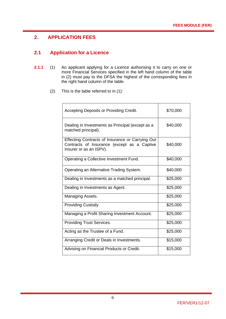# **2. APPLICATION FEES**

# **2.1 Application for a Licence**

- **2.1.1** (1) An applicant applying for a Licence authorising it to carry on one or more Financial Services specified in the left hand column of the table in (2) must pay to the DFSA the highest of the corresponding fees in the right hand column of the table.
	- (2) This is the table referred to in (1):

| Accepting Deposits or Providing Credit.                                                                                    | \$70,000 |
|----------------------------------------------------------------------------------------------------------------------------|----------|
| Dealing in Investments as Principal (except as a<br>matched principal).                                                    | \$40,000 |
| Effecting Contracts of Insurance or Carrying Out<br>Contracts of Insurance (except as a Captive<br>Insurer or as an ISPV). | \$40,000 |
| Operating a Collective Investment Fund.                                                                                    | \$40,000 |
| Operating an Alternative Trading System.                                                                                   | \$40,000 |
| Dealing in Investments as a matched principal.                                                                             | \$25,000 |
| Dealing in Investments as Agent.                                                                                           | \$25,000 |
| Managing Assets.                                                                                                           | \$25,000 |
| Providing Custody.                                                                                                         | \$25,000 |
| Managing a Profit Sharing Investment Account.                                                                              | \$25,000 |
| <b>Providing Trust Services.</b>                                                                                           | \$25,000 |
| Acting as the Trustee of a Fund.                                                                                           | \$25,000 |
| Arranging Credit or Deals in Investments.                                                                                  | \$15,000 |
| Advising on Financial Products or Credit.                                                                                  | \$15,000 |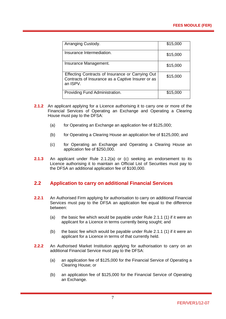| Arranging Custody.                                                                                                | \$15,000 |
|-------------------------------------------------------------------------------------------------------------------|----------|
| Insurance Intermediation.                                                                                         | \$15,000 |
| Insurance Management.                                                                                             | \$15,000 |
| Effecting Contracts of Insurance or Carrying Out<br>Contracts of Insurance as a Captive Insurer or as<br>an ISPV. | \$15,000 |
| Providing Fund Administration.                                                                                    | \$15,000 |

- **2.1.2** An applicant applying for a Licence authorising it to carry one or more of the Financial Services of Operating an Exchange and Operating a Clearing House must pay to the DFSA:
	- (a) for Operating an Exchange an application fee of  $$125,000$ ;
	- (b) for Operating a Clearing House an application fee of \$125,000; and
	- (c) for Operating an Exchange and Operating a Clearing House an application fee of \$250,000.
- **2.1.3** An applicant under Rule 2.1.2(a) or (c) seeking an endorsement to its Licence authorising it to maintain an Official List of Securities must pay to the DFSA an additional application fee of \$100,000.

# **2.2 Application to carry on additional Financial Services**

- **2.2.1** An Authorised Firm applying for authorisation to carry on additional Financial Services must pay to the DFSA an application fee equal to the difference between:
	- (a) the basic fee which would be payable under Rule 2.1.1 (1) if it were an applicant for a Licence in terms currently being sought; and
	- (b) the basic fee which would be payable under Rule 2.1.1 (1) if it were an applicant for a Licence in terms of that currently held.
- **2.2.2** An Authorised Market Institution applying for authorisation to carry on an additional Financial Service must pay to the DFSA:
	- (a) an application fee of \$125,000 for the Financial Service of Operating a Clearing House; or
	- (b) an application fee of \$125,000 for the Financial Service of Operating an Exchange.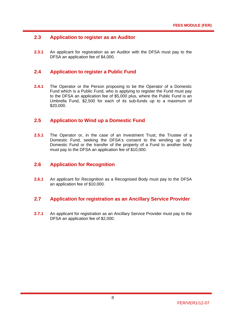# **2.3 Application to register as an Auditor**

**2.3.1** An applicant for registration as an Auditor with the DFSA must pay to the DFSA an application fee of \$4,000.

#### **2.4 Application to register a Public Fund**

**2.4.1** The Operator or the Person proposing to be the Operator of a Domestic Fund which is a Public Fund, who is applying to register the Fund must pay to the DFSA an application fee of \$5,000 plus, where the Public Fund is an Umbrella Fund, \$2,500 for each of its sub-funds up to a maximum of \$20,000.

#### **2.5 Application to Wind up a Domestic Fund**

**2.5.1** The Operator or, in the case of an Investment Trust, the Trustee of a Domestic Fund, seeking the DFSA's consent to the winding up of a Domestic Fund or the transfer of the property of a Fund to another body must pay to the DFSA an application fee of \$10,000.

#### **2.6 Application for Recognition**

**2.6.1** An applicant for Recognition as a Recognised Body must pay to the DFSA an application fee of \$10,000.

#### **2.7 Application for registration as an Ancillary Service Provider**

**2.7.1** An applicant for registration as an Ancillary Service Provider must pay to the DFSA an application fee of \$2,000.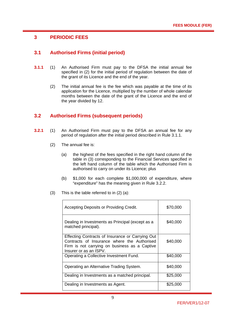# **3 PERIODIC FEES**

# **3.1 Authorised Firms (initial period)**

- **3.1.1** (1) An Authorised Firm must pay to the DFSA the initial annual fee specified in (2) for the initial period of regulation between the date of the grant of its Licence and the end of the year.
	- (2) The initial annual fee is the fee which was payable at the time of its application for the Licence, multiplied by the number of whole calendar months between the date of the grant of the Licence and the end of the year divided by 12.

#### **3.2 Authorised Firms (subsequent periods)**

- **3.2.1** (1) An Authorised Firm must pay to the DFSA an annual fee for any period of regulation after the initial period described in Rule 3.1.1.
	- (2) The annual fee is:
		- (a) the highest of the fees specified in the right hand column of the table in (3) corresponding to the Financial Services specified in the left hand column of the table which the Authorised Firm is authorised to carry on under its Licence; plus
		- (b) \$1,000 for each complete \$1,000,000 of expenditure, where "expenditure" has the meaning given in Rule 3.2.2.
	- (3) This is the table referred to in (2) (a):

| Accepting Deposits or Providing Credit.                                                                                                                                    | \$70,000 |
|----------------------------------------------------------------------------------------------------------------------------------------------------------------------------|----------|
| Dealing in Investments as Principal (except as a<br>matched principal).                                                                                                    | \$40,000 |
| Effecting Contracts of Insurance or Carrying Out<br>Contracts of Insurance where the Authorised<br>Firm is not carrying on business as a Captive<br>Insurer or as an ISPV. | \$40,000 |
| Operating a Collective Investment Fund.                                                                                                                                    | \$40,000 |
| Operating an Alternative Trading System.                                                                                                                                   | \$40,000 |
| Dealing in Investments as a matched principal.                                                                                                                             | \$25,000 |
| Dealing in Investments as Agent.                                                                                                                                           | \$25,000 |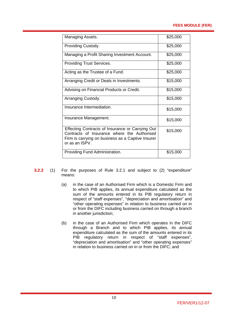#### **FEES MODULE (FER)**

| Managing Assets.                                                                                                                                                       | \$25,000 |
|------------------------------------------------------------------------------------------------------------------------------------------------------------------------|----------|
| Providing Custody.                                                                                                                                                     | \$25,000 |
| Managing a Profit Sharing Investment Account.                                                                                                                          | \$25,000 |
| <b>Providing Trust Services.</b>                                                                                                                                       | \$25,000 |
| Acting as the Trustee of a Fund.                                                                                                                                       | \$25,000 |
| Arranging Credit or Deals in Investments.                                                                                                                              | \$15,000 |
| Advising on Financial Products or Credit.                                                                                                                              | \$15,000 |
| Arranging Custody.                                                                                                                                                     | \$15,000 |
| Insurance Intermediation.                                                                                                                                              | \$15,000 |
| Insurance Management.                                                                                                                                                  | \$15,000 |
| Effecting Contracts of Insurance or Carrying Out<br>Contracts of Insurance where the Authorised<br>Firm is carrying on business as a Captive Insurer<br>or as an ISPV. | \$15,000 |
| Providing Fund Administration.                                                                                                                                         | \$15,000 |

- **3.2.2** (1) For the purposes of Rule 3.2.1 and subject to (2) "expenditure" means:
	- (a) in the case of an Authorised Firm which is a Domestic Firm and to which PIB applies, its annual expenditure calculated as the sum of the amounts entered in its PIB regulatory return in respect of "staff expenses", "depreciation and amortisation" and "other operating expenses" in relation to business carried on in or from the DIFC including business carried on through a branch in another jurisdiction;
	- (b) in the case of an Authorised Firm which operates in the DIFC through a Branch and to which PIB applies, its annual expenditure calculated as the sum of the amounts entered in its PIB regulatory return in respect of "staff expenses", "depreciation and amortisation" and "other operating expenses" in relation to business carried on in or from the DIFC; and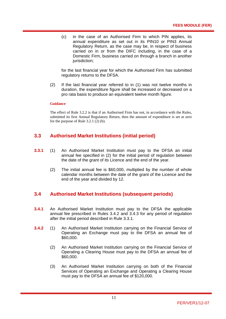(c) in the case of an Authorised Firm to which PIN applies, its annual expenditure as set out in its PIN10 or PIN3 Annual Regulatory Return, as the case may be, in respect of business carried on in or from the DIFC including, in the case of a Domestic Firm, business carried on through a branch in another jurisdiction:

for the last financial year for which the Authorised Firm has submitted regulatory returns to the DFSA.

(2) If the last financial year referred to in (1) was not twelve months in duration, the expenditure figure shall be increased or decreased on a pro rata basis to produce an equivalent twelve month figure.

#### **Guidance**

The effect of Rule 3.2.2 is that if an Authorised Firm has not, in accordance with the Rules, submitted its first Annual Regulatory Return, then the amount of expenditure is set at zero for the purpose of Rule 3.2.1 (2) (b).

#### **3.3 Authorised Market Institutions (initial period)**

- **3.3.1** (1) An Authorised Market Institution must pay to the DFSA an initial annual fee specified in (2) for the initial period of regulation between the date of the grant of its Licence and the end of the year.
	- (2) The initial annual fee is \$60,000, multiplied by the number of whole calendar months between the date of the grant of the Licence and the end of the year and divided by 12.

#### **3.4 Authorised Market Institutions (subsequent periods)**

- **3.4.1** An Authorised Market Institution must pay to the DFSA the applicable annual fee prescribed in Rules 3.4.2 and 3.4.3 for any period of regulation after the initial period described in Rule 3.3.1.
- **3.4.2** (1) An Authorised Market Institution carrying on the Financial Service of Operating an Exchange must pay to the DFSA an annual fee of \$60,000.
	- (2) An Authorised Market Institution carrying on the Financial Service of Operating a Clearing House must pay to the DFSA an annual fee of \$60,000.
	- (3) An Authorised Market Institution carrying on both of the Financial Services of Operating an Exchange and Operating a Clearing House must pay to the DFSA an annual fee of \$120,000.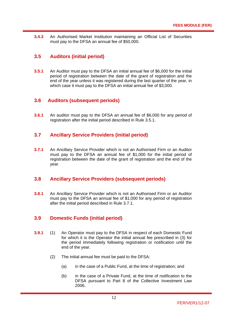**3.4.3** An Authorised Market Institution maintaining an Official List of Securities must pay to the DFSA an annual fee of \$50,000.

## **3.5 Auditors (initial period)**

**3.5.1** An Auditor must pay to the DFSA an initial annual fee of \$6,000 for the initial period of registration between the date of the grant of registration and the end of the year unless it was registered during the last quarter of the year, in which case it must pay to the DFSA an initial annual fee of \$3,000.

#### **3.6 Auditors (subsequent periods)**

**3.6.1** An auditor must pay to the DFSA an annual fee of \$6,000 for any period of registration after the initial period described in Rule 3.5.1.

#### **3.7 Ancillary Service Providers (initial period)**

**3.7.1** An Ancillary Service Provider which is not an Authorised Firm or an Auditor must pay to the DFSA an annual fee of \$1,000 for the initial period of registration between the date of the grant of registration and the end of the year.

#### **3.8 Ancillary Service Providers (subsequent periods)**

**3.8.1** An Ancillary Service Provider which is not an Authorised Firm or an Auditor must pay to the DFSA an annual fee of \$1,000 for any period of registration after the initial period described in Rule 3.7.1.

#### **3.9 Domestic Funds (initial period)**

- **3.9.1** (1) An Operator must pay to the DFSA in respect of each Domestic Fund for which it is the Operator the initial annual fee prescribed in (3) for the period immediately following registration or notification until the end of the year.
	- (2) The initial annual fee must be paid to the DFSA:
		- (a) in the case of a Public Fund, at the time of registration; and
		- (b) in the case of a Private Fund, at the time of notification to the DFSA pursuant to Part 8 of the Collective Investment Law 2006.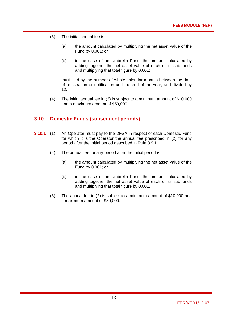- (3) The initial annual fee is:
	- (a) the amount calculated by multiplying the net asset value of the Fund by 0.001; or
	- (b) in the case of an Umbrella Fund, the amount calculated by adding together the net asset value of each of its sub-funds and multiplying that total figure by 0.001;

multiplied by the number of whole calendar months between the date of registration or notification and the end of the year, and divided by 12.

(4) The initial annual fee in (3) is subject to a minimum amount of \$10,000 and a maximum amount of \$50,000.

#### **3.10 Domestic Funds (subsequent periods)**

- **3.10.1** (1) An Operator must pay to the DFSA in respect of each Domestic Fund for which it is the Operator the annual fee prescribed in (2) for any period after the initial period described in Rule 3.9.1.
	- (2) The annual fee for any period after the initial period is:
		- (a) the amount calculated by multiplying the net asset value of the Fund by 0.001; or
		- (b) in the case of an Umbrella Fund, the amount calculated by adding together the net asset value of each of its sub-funds and multiplying that total figure by 0.001.
	- (3) The annual fee in (2) is subject to a minimum amount of \$10,000 and a maximum amount of \$50,000.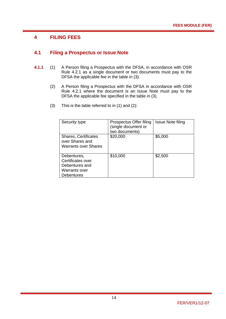# **4 FILING FEES**

#### **4.1 Filing a Prospectus or Issue Note**

- **4.1.1** (1) A Person filing a Prospectus with the DFSA, in accordance with OSR Rule 4.2.1 as a single document or two documents must pay to the DFSA the applicable fee in the table in (3).
	- (2) A Person filing a Prospectus with the DFSA in accordance with OSR Rule 4.2.1 where the document is an Issue Note must pay to the DFSA the applicable fee specified in the table in (3).
	- (3) This is the table referred to in (1) and (2):

| Security type                                                                     | Prospectus Offer filing<br>(single document or<br>two documents) | <b>Issue Note filing</b> |
|-----------------------------------------------------------------------------------|------------------------------------------------------------------|--------------------------|
| <b>Shares, Certificates</b><br>over Shares and<br><b>Warrants over Shares</b>     | \$20,000                                                         | \$5,000                  |
| Debentures,<br>Certificates over<br>Debentures and<br>Warrants over<br>Debentures | \$10,000                                                         | \$2,500                  |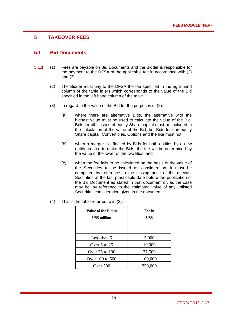# **5 TAKEOVER FEES**

#### **5.1 Bid Documents**

- **5.1.1** (1) Fees are payable on Bid Documents and the Bidder is responsible for the payment to the DFSA of the applicable fee in accordance with (2) and (3).
	- (2) The Bidder must pay to the DFSA the fee specified in the right hand column of the table in (4) which corresponds to the value of the Bid specified in the left hand column of the table.
	- (3) In regard to the value of the Bid for the purposes of (2):
		- (a) where there are alternative Bids, the alternative with the highest value must be used to calculate the value of the Bid. Bids for all classes of equity Share capital must be included in the calculation of the value of the Bid, but Bids for non-equity Share capital, Convertibles, Options and the like must not;
		- (b) when a merger is effected by Bids for both entities by a new entity created to make the Bids, the fee will be determined by the value of the lower of the two Bids; and
		- (c) when the fee falls to be calculated on the basis of the value of the Securities to be issued as consideration, it must be computed by reference to the closing price of the relevant Securities at the last practicable date before the publication of the Bid Document as stated in that document or, as the case may be, by reference to the estimated value of any unlisted Securities consideration given in the document.
	- (4) This is the table referred to in (2):

| Value of the Bid in<br><b>US\$</b> million | Fee in<br>US\$ |
|--------------------------------------------|----------------|
| Less than 5                                | 5,000          |
| Over $5$ to $25$                           | 10,000         |
| Over 25 to 100                             | 37,500         |
| Over 100 to 500                            | 100,000        |
| Over 500                                   | 250,000        |